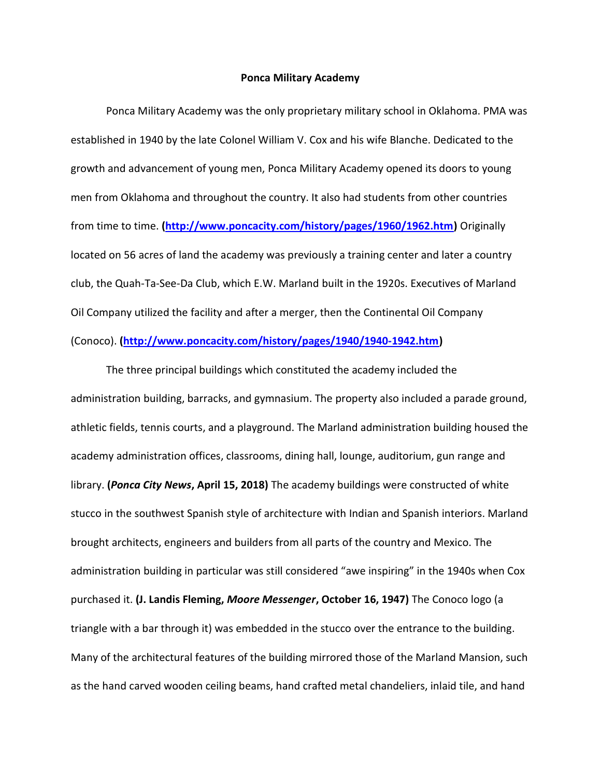## Ponca Military Academy

Ponca Military Academy was the only proprietary military school in Oklahoma. PMA was established in 1940 by the late Colonel William V. Cox and his wife Blanche. Dedicated to the growth and advancement of young men, Ponca Military Academy opened its doors to young men from Oklahoma and throughout the country. It also had students from other countries from time to time. (http://www.poncacity.com/history/pages/1960/1962.htm) Originally located on 56 acres of land the academy was previously a training center and later a country club, the Quah-Ta-See-Da Club, which E.W. Marland built in the 1920s. Executives of Marland Oil Company utilized the facility and after a merger, then the Continental Oil Company (Conoco). (http://www.poncacity.com/history/pages/1940/1940-1942.htm)

The three principal buildings which constituted the academy included the administration building, barracks, and gymnasium. The property also included a parade ground, athletic fields, tennis courts, and a playground. The Marland administration building housed the academy administration offices, classrooms, dining hall, lounge, auditorium, gun range and library. (Ponca City News, April 15, 2018) The academy buildings were constructed of white stucco in the southwest Spanish style of architecture with Indian and Spanish interiors. Marland brought architects, engineers and builders from all parts of the country and Mexico. The administration building in particular was still considered "awe inspiring" in the 1940s when Cox purchased it. (J. Landis Fleming, Moore Messenger, October 16, 1947) The Conoco logo (a triangle with a bar through it) was embedded in the stucco over the entrance to the building. Many of the architectural features of the building mirrored those of the Marland Mansion, such as the hand carved wooden ceiling beams, hand crafted metal chandeliers, inlaid tile, and hand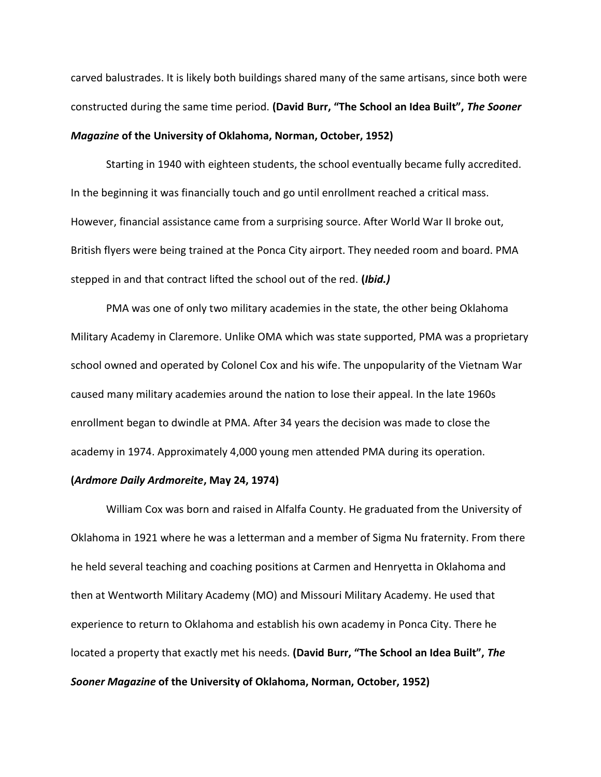carved balustrades. It is likely both buildings shared many of the same artisans, since both were constructed during the same time period. (David Burr, "The School an Idea Built", The Sooner Magazine of the University of Oklahoma, Norman, October, 1952)

Starting in 1940 with eighteen students, the school eventually became fully accredited. In the beginning it was financially touch and go until enrollment reached a critical mass. However, financial assistance came from a surprising source. After World War II broke out, British flyers were being trained at the Ponca City airport. They needed room and board. PMA stepped in and that contract lifted the school out of the red. (Ibid.)

PMA was one of only two military academies in the state, the other being Oklahoma Military Academy in Claremore. Unlike OMA which was state supported, PMA was a proprietary school owned and operated by Colonel Cox and his wife. The unpopularity of the Vietnam War caused many military academies around the nation to lose their appeal. In the late 1960s enrollment began to dwindle at PMA. After 34 years the decision was made to close the academy in 1974. Approximately 4,000 young men attended PMA during its operation.

## (Ardmore Daily Ardmoreite, May 24, 1974)

William Cox was born and raised in Alfalfa County. He graduated from the University of Oklahoma in 1921 where he was a letterman and a member of Sigma Nu fraternity. From there he held several teaching and coaching positions at Carmen and Henryetta in Oklahoma and then at Wentworth Military Academy (MO) and Missouri Military Academy. He used that experience to return to Oklahoma and establish his own academy in Ponca City. There he located a property that exactly met his needs. (David Burr, "The School an Idea Built", The Sooner Magazine of the University of Oklahoma, Norman, October, 1952)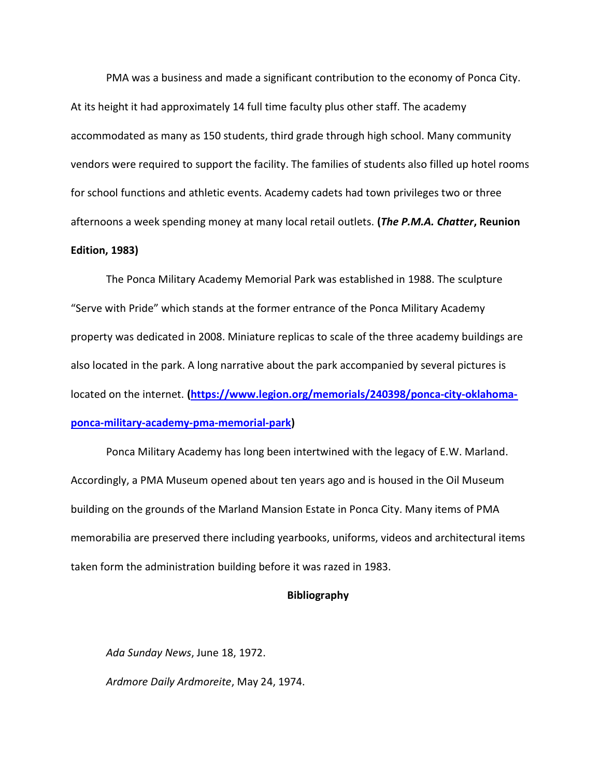PMA was a business and made a significant contribution to the economy of Ponca City. At its height it had approximately 14 full time faculty plus other staff. The academy accommodated as many as 150 students, third grade through high school. Many community vendors were required to support the facility. The families of students also filled up hotel rooms for school functions and athletic events. Academy cadets had town privileges two or three afternoons a week spending money at many local retail outlets. (The P.M.A. Chatter, Reunion Edition, 1983)

The Ponca Military Academy Memorial Park was established in 1988. The sculpture "Serve with Pride" which stands at the former entrance of the Ponca Military Academy property was dedicated in 2008. Miniature replicas to scale of the three academy buildings are also located in the park. A long narrative about the park accompanied by several pictures is located on the internet. (https://www.legion.org/memorials/240398/ponca-city-oklahomaponca-military-academy-pma-memorial-park)

Ponca Military Academy has long been intertwined with the legacy of E.W. Marland. Accordingly, a PMA Museum opened about ten years ago and is housed in the Oil Museum building on the grounds of the Marland Mansion Estate in Ponca City. Many items of PMA memorabilia are preserved there including yearbooks, uniforms, videos and architectural items taken form the administration building before it was razed in 1983.

## Bibliography

Ada Sunday News, June 18, 1972. Ardmore Daily Ardmoreite, May 24, 1974.